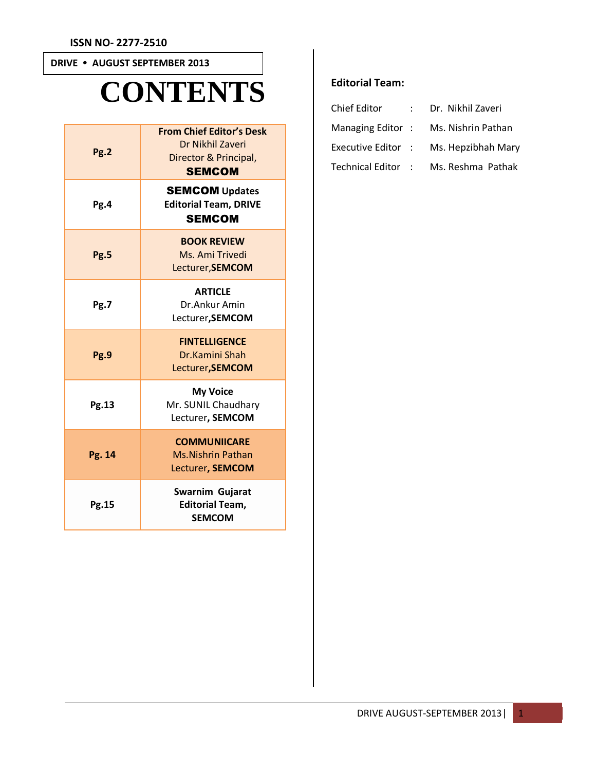# **DRIVE • AUGUST SEPTEMBER 2013**

# **CONTENTS**

| Pg.2        | <b>From Chief Editor's Desk</b><br>Dr Nikhil Zaveri<br>Director & Principal,<br><b>SEMCOM</b> |  |  |  |  |  |
|-------------|-----------------------------------------------------------------------------------------------|--|--|--|--|--|
| Pg.4        | <b>SEMCOM Updates</b><br><b>Editorial Team, DRIVE</b><br><b>SEMCOM</b>                        |  |  |  |  |  |
| <b>Pg.5</b> | <b>BOOK REVIEW</b><br>Ms. Ami Trivedi<br>Lecturer, SEMCOM                                     |  |  |  |  |  |
| Pg.7        | <b>ARTICLE</b><br>Dr.Ankur Amin<br>Lecturer, SEMCOM                                           |  |  |  |  |  |
| Pg.9        | <b>FINTELLIGENCE</b><br>Dr.Kamini Shah<br>Lecturer, SEMCOM                                    |  |  |  |  |  |
| Pg.13       | <b>My Voice</b><br>Mr. SUNIL Chaudhary<br>Lecturer, SEMCOM                                    |  |  |  |  |  |
| Pg. 14      | <b>COMMUNIICARE</b><br><b>Ms.Nishrin Pathan</b><br>Lecturer, SEMCOM                           |  |  |  |  |  |
| Pg.15       | Swarnim Gujarat<br><b>Editorial Team,</b><br><b>SEMCOM</b>                                    |  |  |  |  |  |

# **Editorial Team:**

| Chief Editor       | Dr. Nikhil Zaveri  |
|--------------------|--------------------|
| Managing Editor:   | Ms. Nishrin Pathan |
| Executive Editor : | Ms. Hepzibhah Mary |
| Technical Editor : | Ms. Reshma Pathak  |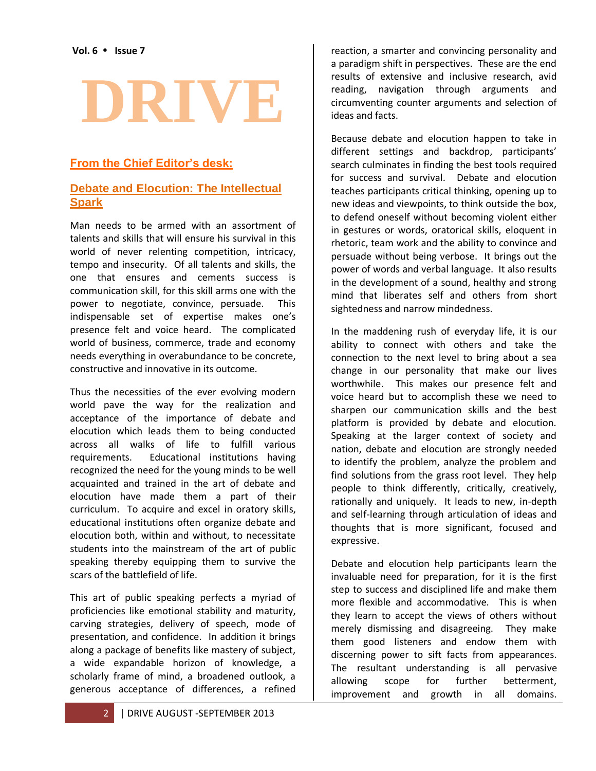# **DRIVE**

# **From the Chief Editor's desk:**

### **Debate and Elocution: The Intellectual Spark**

Man needs to be armed with an assortment of talents and skills that will ensure his survival in this world of never relenting competition, intricacy, tempo and insecurity. Of all talents and skills, the one that ensures and cements success is communication skill, for this skill arms one with the power to negotiate, convince, persuade. This indispensable set of expertise makes one's presence felt and voice heard. The complicated world of business, commerce, trade and economy needs everything in overabundance to be concrete, constructive and innovative in its outcome.

Thus the necessities of the ever evolving modern world pave the way for the realization and acceptance of the importance of debate and elocution which leads them to being conducted across all walks of life to fulfill various requirements. Educational institutions having recognized the need for the young minds to be well acquainted and trained in the art of debate and elocution have made them a part of their curriculum. To acquire and excel in oratory skills, educational institutions often organize debate and elocution both, within and without, to necessitate students into the mainstream of the art of public speaking thereby equipping them to survive the scars of the battlefield of life.

This art of public speaking perfects a myriad of proficiencies like emotional stability and maturity, carving strategies, delivery of speech, mode of presentation, and confidence. In addition it brings along a package of benefits like mastery of subject, a wide expandable horizon of knowledge, a scholarly frame of mind, a broadened outlook, a generous acceptance of differences, a refined reaction, a smarter and convincing personality and a paradigm shift in perspectives. These are the end results of extensive and inclusive research, avid reading, navigation through arguments and circumventing counter arguments and selection of ideas and facts.

Because debate and elocution happen to take in different settings and backdrop, participants' search culminates in finding the best tools required for success and survival. Debate and elocution teaches participants critical thinking, opening up to new ideas and viewpoints, to think outside the box, to defend oneself without becoming violent either in gestures or words, oratorical skills, eloquent in rhetoric, team work and the ability to convince and persuade without being verbose. It brings out the power of words and verbal language. It also results in the development of a sound, healthy and strong mind that liberates self and others from short sightedness and narrow mindedness.

In the maddening rush of everyday life, it is our ability to connect with others and take the connection to the next level to bring about a sea change in our personality that make our lives worthwhile. This makes our presence felt and voice heard but to accomplish these we need to sharpen our communication skills and the best platform is provided by debate and elocution. Speaking at the larger context of society and nation, debate and elocution are strongly needed to identify the problem, analyze the problem and find solutions from the grass root level. They help people to think differently, critically, creatively, rationally and uniquely. It leads to new, in-depth and self-learning through articulation of ideas and thoughts that is more significant, focused and expressive.

Debate and elocution help participants learn the invaluable need for preparation, for it is the first step to success and disciplined life and make them more flexible and accommodative. This is when they learn to accept the views of others without merely dismissing and disagreeing. They make them good listeners and endow them with discerning power to sift facts from appearances. The resultant understanding is all pervasive allowing scope for further betterment, improvement and growth in all domains.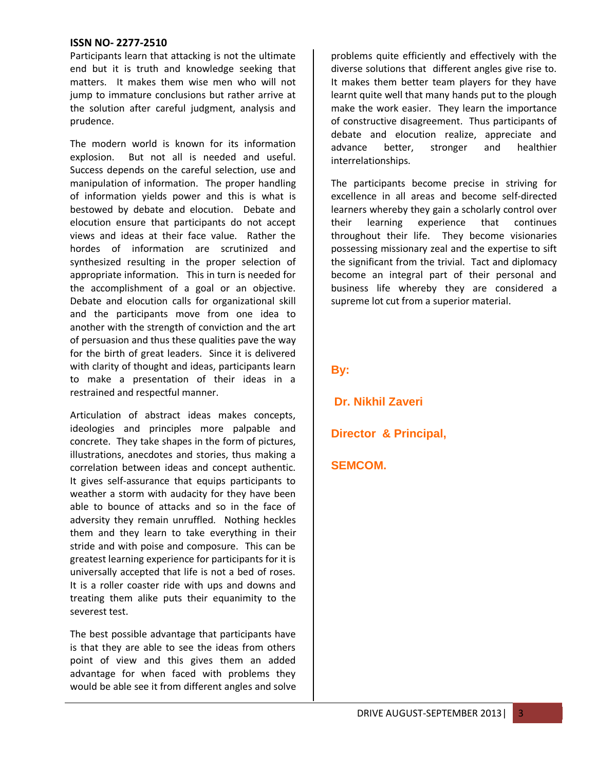Participants learn that attacking is not the ultimate end but it is truth and knowledge seeking that matters. It makes them wise men who will not jump to immature conclusions but rather arrive at the solution after careful judgment, analysis and prudence.

The modern world is known for its information explosion. But not all is needed and useful. Success depends on the careful selection, use and manipulation of information. The proper handling of information yields power and this is what is bestowed by debate and elocution. Debate and elocution ensure that participants do not accept views and ideas at their face value. Rather the hordes of information are scrutinized and synthesized resulting in the proper selection of appropriate information. This in turn is needed for the accomplishment of a goal or an objective. Debate and elocution calls for organizational skill and the participants move from one idea to another with the strength of conviction and the art of persuasion and thus these qualities pave the way for the birth of great leaders. Since it is delivered with clarity of thought and ideas, participants learn to make a presentation of their ideas in a restrained and respectful manner.

Articulation of abstract ideas makes concepts, ideologies and principles more palpable and concrete. They take shapes in the form of pictures, illustrations, anecdotes and stories, thus making a correlation between ideas and concept authentic. It gives self-assurance that equips participants to weather a storm with audacity for they have been able to bounce of attacks and so in the face of adversity they remain unruffled. Nothing heckles them and they learn to take everything in their stride and with poise and composure. This can be greatest learning experience for participants for it is universally accepted that life is not a bed of roses. It is a roller coaster ride with ups and downs and treating them alike puts their equanimity to the severest test.

The best possible advantage that participants have is that they are able to see the ideas from others point of view and this gives them an added advantage for when faced with problems they would be able see it from different angles and solve problems quite efficiently and effectively with the diverse solutions that different angles give rise to. It makes them better team players for they have learnt quite well that many hands put to the plough make the work easier. They learn the importance of constructive disagreement. Thus participants of debate and elocution realize, appreciate and advance better, stronger and healthier interrelationships.

The participants become precise in striving for excellence in all areas and become self-directed learners whereby they gain a scholarly control over their learning experience that continues throughout their life. They become visionaries possessing missionary zeal and the expertise to sift the significant from the trivial. Tact and diplomacy become an integral part of their personal and business life whereby they are considered a supreme lot cut from a superior material.

#### **By:**

**Dr. Nikhil Zaveri**

**Director & Principal,**

#### **SEMCOM.**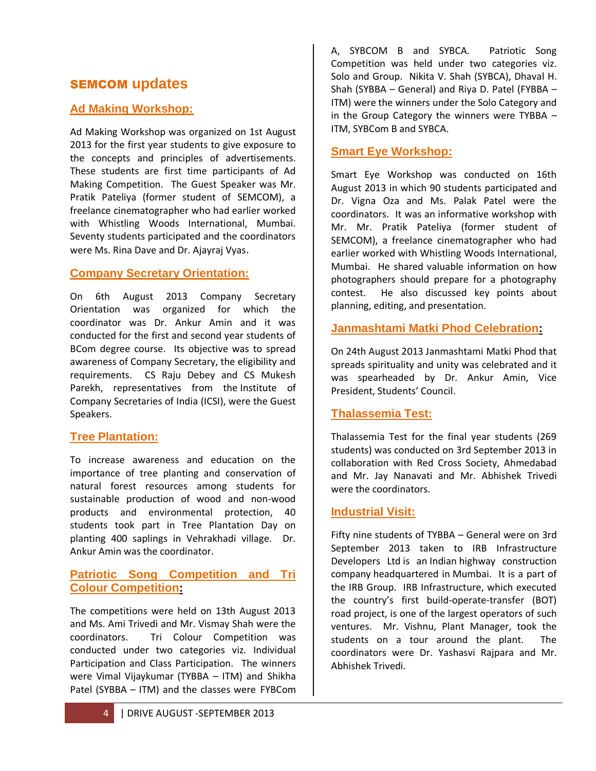# SEMCOM **updates**

## **Ad Making Workshop:**

Ad Making Workshop was organized on 1st August 2013 for the first year students to give exposure to the concepts and principles of advertisements. These students are first time participants of Ad Making Competition. The Guest Speaker was Mr. Pratik Pateliya (former student of SEMCOM), a freelance cinematographer who had earlier worked with Whistling Woods International, Mumbai. Seventy students participated and the coordinators were Ms. Rina Dave and Dr. Ajayraj Vyas.

#### **Company Secretary Orientation:**

On 6th August 2013 Company Secretary Orientation was organized for which the coordinator was Dr. Ankur Amin and it was conducted for the first and second year students of BCom degree course. Its objective was to spread awareness of Company Secretary, the eligibility and requirements. CS Raju Debey and CS Mukesh Parekh, representatives from the Institute of Company Secretaries of India (ICSI), were the Guest Speakers.

#### **Tree Plantation:**

To increase awareness and education on the importance of tree planting and conservation of natural forest resources among students for sustainable production of wood and non-wood products and environmental protection, 40 students took part in Tree Plantation Day on planting 400 saplings in Vehrakhadi village. Dr. Ankur Amin was the coordinator.

#### **Patriotic Song Competition and Tri Colour Competition:**

The competitions were held on 13th August 2013 and Ms. Ami Trivedi and Mr. Vismay Shah were the coordinators. Tri Colour Competition was conducted under two categories viz. Individual Participation and Class Participation. The winners were Vimal Vijaykumar (TYBBA – ITM) and Shikha Patel (SYBBA – ITM) and the classes were FYBCom

# **Smart Eye Workshop:**

Smart Eye Workshop was conducted on 16th August 2013 in which 90 students participated and Dr. Vigna Oza and Ms. Palak Patel were the coordinators. It was an informative workshop with Mr. Mr. Pratik Pateliya (former student of SEMCOM), a freelance cinematographer who had earlier worked with Whistling Woods International, Mumbai. He shared valuable information on how photographers should prepare for a photography contest. He also discussed key points about planning, editing, and presentation.

#### **Janmashtami Matki Phod Celebration:**

On 24th August 2013 Janmashtami Matki Phod that spreads spirituality and unity was celebrated and it was spearheaded by Dr. Ankur Amin, Vice President, Students' Council.

# **Thalassemia Test:**

Thalassemia Test for the final year students (269 students) was conducted on 3rd September 2013 in collaboration with Red Cross Society, Ahmedabad and Mr. Jay Nanavati and Mr. Abhishek Trivedi were the coordinators.

#### **Industrial Visit:**

Fifty nine students of TYBBA – General were on 3rd September 2013 taken to IRB Infrastructure Developers Ltd is an Indian highway construction company headquartered in Mumbai. It is a part of the IRB Group. IRB Infrastructure, which executed the country's first build-operate-transfer (BOT) road project, is one of the largest operators of such ventures. Mr. Vishnu, Plant Manager, took the students on a tour around the plant. The coordinators were Dr. Yashasvi Rajpara and Mr. Abhishek Trivedi.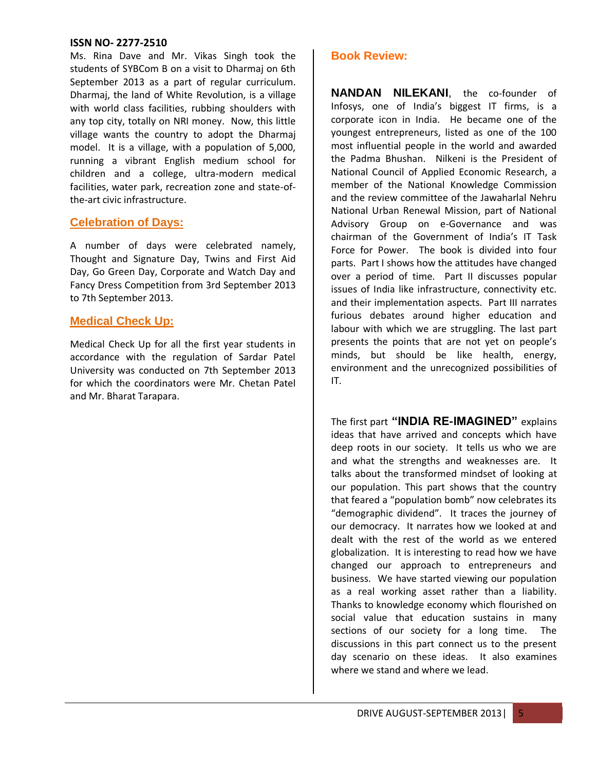Ms. Rina Dave and Mr. Vikas Singh took the students of SYBCom B on a visit to Dharmaj on 6th September 2013 as a part of regular curriculum. Dharmaj, the land of White Revolution, is a village with world class facilities, rubbing shoulders with any top city, totally on NRI money. Now, this little village wants the country to adopt the Dharmaj model. It is a village, with a population of 5,000, running a vibrant English medium school for children and a college, ultra-modern medical facilities, water park, recreation zone and state-ofthe-art civic infrastructure.

#### **Celebration of Days:**

A number of days were celebrated namely, Thought and Signature Day, Twins and First Aid Day, Go Green Day, Corporate and Watch Day and Fancy Dress Competition from 3rd September 2013 to 7th September 2013.

#### **Medical Check Up:**

Medical Check Up for all the first year students in accordance with the regulation of Sardar Patel University was conducted on 7th September 2013 for which the coordinators were Mr. Chetan Patel and Mr. Bharat Tarapara.

#### **Book Review:**

**NANDAN NILEKANI**, the co-founder of Infosys, one of India's biggest IT firms, is a corporate icon in India. He became one of the youngest entrepreneurs, listed as one of the 100 most influential people in the world and awarded the Padma Bhushan. Nilkeni is the President of National Council of Applied Economic Research, a member of the National Knowledge Commission and the review committee of the Jawaharlal Nehru National Urban Renewal Mission, part of National Advisory Group on e-Governance and was chairman of the Government of India's IT Task Force for Power. The book is divided into four parts. Part I shows how the attitudes have changed over a period of time. Part II discusses popular issues of India like infrastructure, connectivity etc. and their implementation aspects. Part III narrates furious debates around higher education and labour with which we are struggling. The last part presents the points that are not yet on people's minds, but should be like health, energy, environment and the unrecognized possibilities of IT.

The first part **"INDIA RE-IMAGINED"** explains ideas that have arrived and concepts which have deep roots in our society. It tells us who we are and what the strengths and weaknesses are. It talks about the transformed mindset of looking at our population. This part shows that the country that feared a "population bomb" now celebrates its "demographic dividend". It traces the journey of our democracy. It narrates how we looked at and dealt with the rest of the world as we entered globalization. It is interesting to read how we have changed our approach to entrepreneurs and business. We have started viewing our population as a real working asset rather than a liability. Thanks to knowledge economy which flourished on social value that education sustains in many sections of our society for a long time. The discussions in this part connect us to the present day scenario on these ideas. It also examines where we stand and where we lead.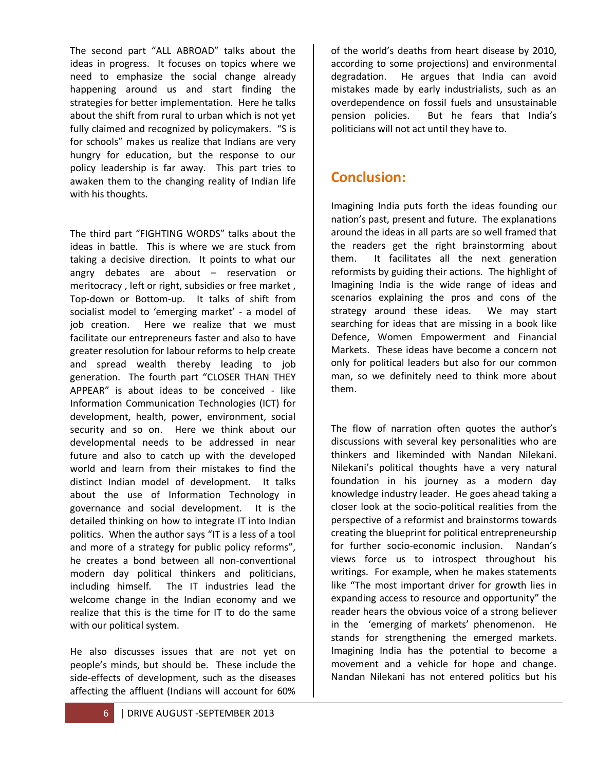The second part "ALL ABROAD" talks about the ideas in progress. It focuses on topics where we need to emphasize the social change already happening around us and start finding the strategies for better implementation. Here he talks about the shift from rural to urban which is not yet fully claimed and recognized by policymakers. "S is for schools" makes us realize that Indians are very hungry for education, but the response to our policy leadership is far away. This part tries to awaken them to the changing reality of Indian life with his thoughts.

The third part "FIGHTING WORDS" talks about the ideas in battle. This is where we are stuck from taking a decisive direction. It points to what our angry debates are about – reservation or meritocracy , left or right, subsidies or free market , Top-down or Bottom-up. It talks of shift from socialist model to 'emerging market' - a model of job creation. Here we realize that we must facilitate our entrepreneurs faster and also to have greater resolution for labour reforms to help create and spread wealth thereby leading to job generation. The fourth part "CLOSER THAN THEY APPEAR" is about ideas to be conceived - like Information Communication Technologies (ICT) for development, health, power, environment, social security and so on. Here we think about our developmental needs to be addressed in near future and also to catch up with the developed world and learn from their mistakes to find the distinct Indian model of development. It talks about the use of Information Technology in governance and social development. It is the detailed thinking on how to integrate IT into Indian politics. When the author says "IT is a less of a tool and more of a strategy for public policy reforms", he creates a bond between all non-conventional modern day political thinkers and politicians, including himself. The IT industries lead the welcome change in the Indian economy and we realize that this is the time for IT to do the same with our political system.

He also discusses issues that are not yet on people's minds, but should be. These include the side-effects of development, such as the diseases affecting the affluent (Indians will account for 60%

of the world's deaths from heart disease by 2010, according to some projections) and environmental degradation. He argues that India can avoid mistakes made by early industrialists, such as an overdependence on fossil fuels and unsustainable pension policies. But he fears that India's politicians will not act until they have to.

# **Conclusion:**

Imagining India puts forth the ideas founding our nation's past, present and future. The explanations around the ideas in all parts are so well framed that the readers get the right brainstorming about them. It facilitates all the next generation reformists by guiding their actions. The highlight of Imagining India is the wide range of ideas and scenarios explaining the pros and cons of the strategy around these ideas. We may start searching for ideas that are missing in a book like Defence, Women Empowerment and Financial Markets. These ideas have become a concern not only for political leaders but also for our common man, so we definitely need to think more about them.

The flow of narration often quotes the author's discussions with several key personalities who are thinkers and likeminded with Nandan Nilekani. Nilekani's political thoughts have a very natural foundation in his journey as a modern day knowledge industry leader. He goes ahead taking a closer look at the socio-political realities from the perspective of a reformist and brainstorms towards creating the blueprint for political entrepreneurship for further socio-economic inclusion. Nandan's views force us to introspect throughout his writings. For example, when he makes statements like "The most important driver for growth lies in expanding access to resource and opportunity" the reader hears the obvious voice of a strong believer in the 'emerging of markets' phenomenon. He stands for strengthening the emerged markets. Imagining India has the potential to become a movement and a vehicle for hope and change. Nandan Nilekani has not entered politics but his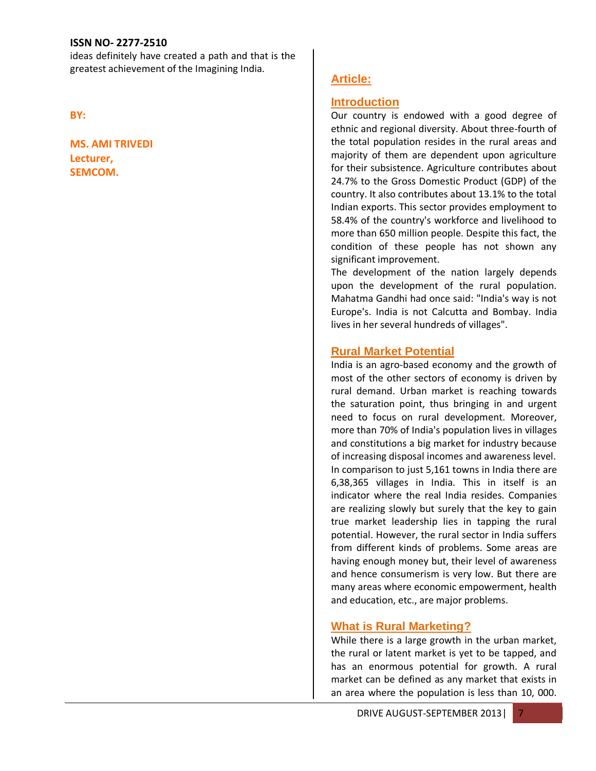ideas definitely have created a path and that is the greatest achievement of the Imagining India.

**BY:**

**MS. AMI TRIVEDI Lecturer, SEMCOM.**

#### **Article:**

#### **Introduction**

Our country is endowed with a good degree of ethnic and regional diversity. About three-fourth of the total population resides in the rural areas and majority of them are dependent upon agriculture for their subsistence. Agriculture contributes about 24.7% to the Gross Domestic Product (GDP) of the country. It also contributes about 13.1% to the total Indian exports. This sector provides employment to 58.4% of the country's workforce and livelihood to more than 650 million people. Despite this fact, the condition of these people has not shown any significant improvement.

The development of the nation largely depends upon the development of the rural population. Mahatma Gandhi had once said: "India's way is not Europe's. India is not Calcutta and Bombay. India lives in her several hundreds of villages".

#### **Rural Market Potential**

India is an agro-based economy and the growth of most of the other sectors of economy is driven by rural demand. Urban market is reaching towards the saturation point, thus bringing in and urgent need to focus on rural development. Moreover, more than 70% of India's population lives in villages and constitutions a big market for industry because of increasing disposal incomes and awareness level. In comparison to just 5,161 towns in India there are 6,38,365 villages in India. This in itself is an indicator where the real India resides. Companies are realizing slowly but surely that the key to gain true market leadership lies in tapping the rural potential. However, the rural sector in India suffers from different kinds of problems. Some areas are having enough money but, their level of awareness and hence consumerism is very low. But there are many areas where economic empowerment, health and education, etc., are major problems.

#### **What is Rural Marketing?**

While there is a large growth in the urban market, the rural or latent market is yet to be tapped, and has an enormous potential for growth. A rural market can be defined as any market that exists in an area where the population is less than 10, 000.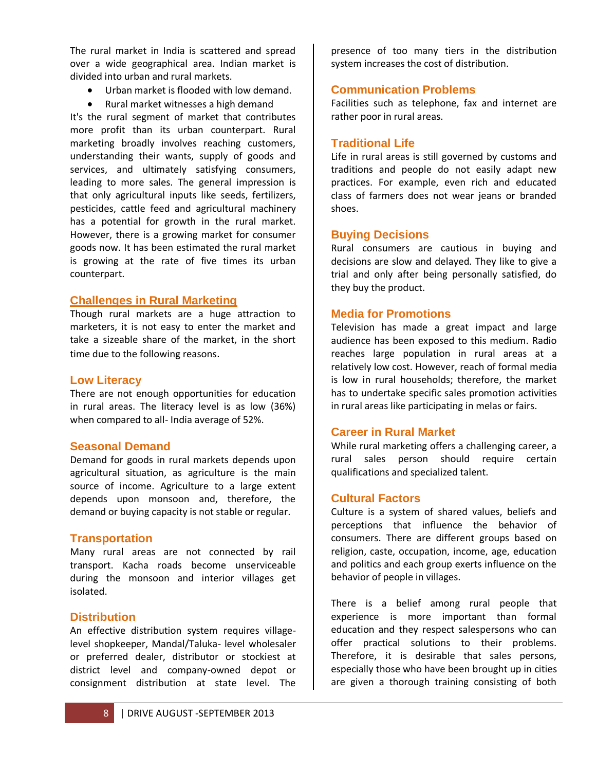The rural market in India is scattered and spread over a wide geographical area. Indian market is divided into urban and rural markets.

- Urban market is flooded with low demand.
- Rural market witnesses a high demand

It's the rural segment of market that contributes more profit than its urban counterpart. Rural marketing broadly involves reaching customers, understanding their wants, supply of goods and services, and ultimately satisfying consumers, leading to more sales. The general impression is that only agricultural inputs like seeds, fertilizers, pesticides, cattle feed and agricultural machinery has a potential for growth in the rural market. However, there is a growing market for consumer goods now. It has been estimated the rural market is growing at the rate of five times its urban counterpart.

#### **Challenges in Rural Marketing**

Though rural markets are a huge attraction to marketers, it is not easy to enter the market and take a sizeable share of the market, in the short time due to the following reasons.

#### **Low Literacy**

There are not enough opportunities for education in rural areas. The literacy level is as low (36%) when compared to all- India average of 52%.

#### **Seasonal Demand**

Demand for goods in rural markets depends upon agricultural situation, as agriculture is the main source of income. Agriculture to a large extent depends upon monsoon and, therefore, the demand or buying capacity is not stable or regular.

#### **Transportation**

Many rural areas are not connected by rail transport. Kacha roads become unserviceable during the monsoon and interior villages get isolated.

#### **Distribution**

An effective distribution system requires villagelevel shopkeeper, Mandal/Taluka- level wholesaler or preferred dealer, distributor or stockiest at district level and company-owned depot or consignment distribution at state level. The

presence of too many tiers in the distribution system increases the cost of distribution.

#### **Communication Problems**

Facilities such as telephone, fax and internet are rather poor in rural areas.

#### **Traditional Life**

Life in rural areas is still governed by customs and traditions and people do not easily adapt new practices. For example, even rich and educated class of farmers does not wear jeans or branded shoes.

#### **Buying Decisions**

Rural consumers are cautious in buying and decisions are slow and delayed. They like to give a trial and only after being personally satisfied, do they buy the product.

#### **Media for Promotions**

Television has made a great impact and large audience has been exposed to this medium. Radio reaches large population in rural areas at a relatively low cost. However, reach of formal media is low in rural households; therefore, the market has to undertake specific sales promotion activities in rural areas like participating in melas or fairs.

#### **Career in Rural Market**

While rural marketing offers a challenging career, a rural sales person should require certain qualifications and specialized talent.

#### **Cultural Factors**

Culture is a system of shared values, beliefs and perceptions that influence the behavior of consumers. There are different groups based on religion, caste, occupation, income, age, education and politics and each group exerts influence on the behavior of people in villages.

There is a belief among rural people that experience is more important than formal education and they respect salespersons who can offer practical solutions to their problems. Therefore, it is desirable that sales persons, especially those who have been brought up in cities are given a thorough training consisting of both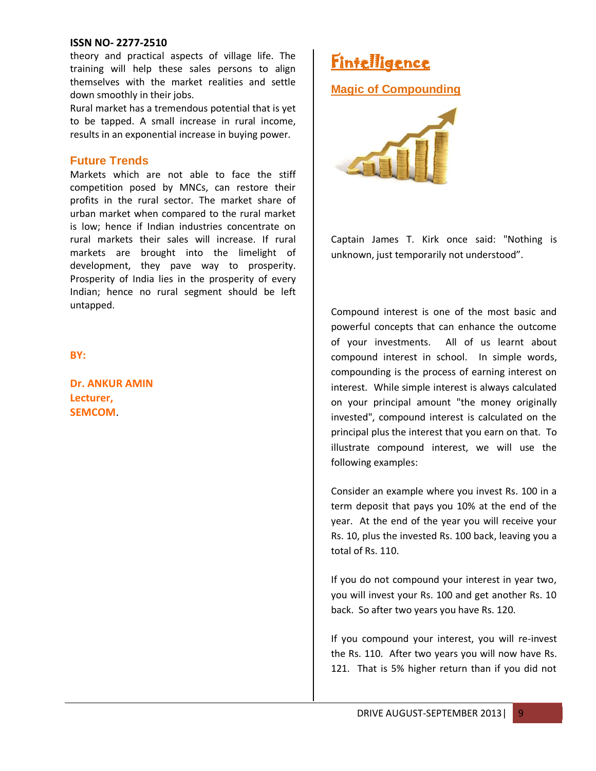theory and practical aspects of village life. The training will help these sales persons to align themselves with the market realities and settle down smoothly in their jobs.

Rural market has a tremendous potential that is yet to be tapped. A small increase in rural income, results in an exponential increase in buying power.

#### **Future Trends**

Markets which are not able to face the stiff competition posed by MNCs, can restore their profits in the rural sector. The market share of urban market when compared to the rural market is low; hence if Indian industries concentrate on rural markets their sales will increase. If rural markets are brought into the limelight of development, they pave way to prosperity. Prosperity of India lies in the prosperity of every Indian; hence no rural segment should be left untapped.

**BY:**

**Dr. ANKUR AMIN Lecturer, SEMCOM**.

**Fintelligence** 

**Magic of Compounding**



Captain James T. Kirk once said: "Nothing is unknown, just temporarily not understood".

Compound interest is one of the most basic and powerful concepts that can enhance the outcome of your investments. All of us learnt about compound interest in school. In simple words, compounding is the process of earning interest on interest. While simple interest is always calculated on your principal amount "the money originally invested", compound interest is calculated on the principal plus the interest that you earn on that. To illustrate compound interest, we will use the following examples:

Consider an example where you invest Rs. 100 in a term deposit that pays you 10% at the end of the year. At the end of the year you will receive your Rs. 10, plus the invested Rs. 100 back, leaving you a total of Rs. 110.

If you do not compound your interest in year two, you will invest your Rs. 100 and get another Rs. 10 back. So after two years you have Rs. 120.

If you compound your interest, you will re-invest the Rs. 110. After two years you will now have Rs. 121. That is 5% higher return than if you did not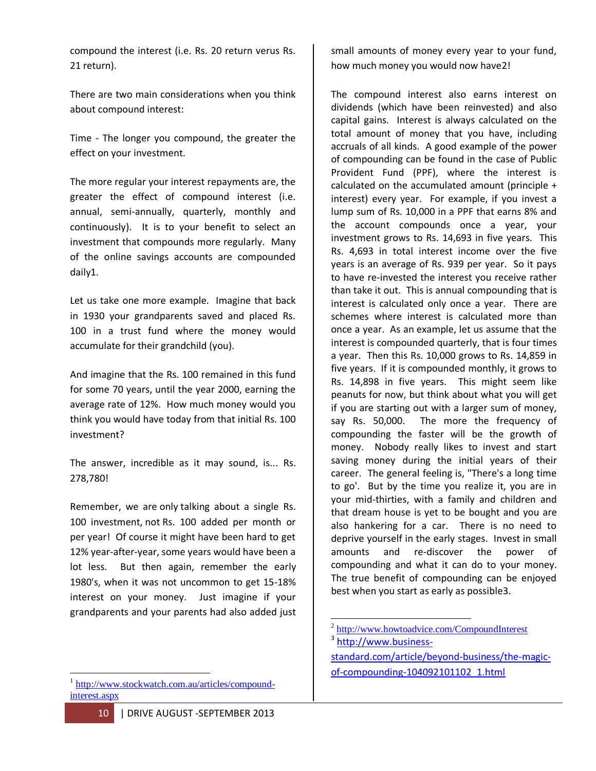compound the interest (i.e. Rs. 20 return verus Rs. 21 return).

There are two main considerations when you think about compound interest:

Time - The longer you compound, the greater the effect on your investment.

The more regular your interest repayments are, the greater the effect of compound interest (i.e. annual, semi-annually, quarterly, monthly and continuously). It is to your benefit to select an investment that compounds more regularly. Many of the online savings accounts are compounded daily1.

Let us take one more example. Imagine that back in 1930 your grandparents saved and placed Rs. 100 in a trust fund where the money would accumulate for their grandchild (you).

And imagine that the Rs. 100 remained in this fund for some 70 years, until the year 2000, earning the average rate of 12%. How much money would you think you would have today from that initial Rs. 100 investment?

The answer, incredible as it may sound, is... Rs. 278,780!

Remember, we are only talking about a single Rs. 100 investment, not Rs. 100 added per month or per year! Of course it might have been hard to get 12% year-after-year, some years would have been a lot less. But then again, remember the early 1980's, when it was not uncommon to get 15-18% interest on your money. Just imagine if your grandparents and your parents had also added just small amounts of money every year to your fund, how much money you would now have2!

The compound interest also earns interest on dividends (which have been reinvested) and also capital gains. Interest is always calculated on the total amount of money that you have, including accruals of all kinds. A good example of the power of compounding can be found in the case of Public Provident Fund (PPF), where the interest is calculated on the accumulated amount (principle + interest) every year. For example, if you invest a lump sum of Rs. 10,000 in a PPF that earns 8% and the account compounds once a year, your investment grows to Rs. 14,693 in five years. This Rs. 4,693 in total interest income over the five years is an average of Rs. 939 per year. So it pays to have re-invested the interest you receive rather than take it out. This is annual compounding that is interest is calculated only once a year. There are schemes where interest is calculated more than once a year. As an example, let us assume that the interest is compounded quarterly, that is four times a year. Then this Rs. 10,000 grows to Rs. 14,859 in five years. If it is compounded monthly, it grows to Rs. 14,898 in five years. This might seem like peanuts for now, but think about what you will get if you are starting out with a larger sum of money, say Rs. 50,000. The more the frequency of compounding the faster will be the growth of money. Nobody really likes to invest and start saving money during the initial years of their career. The general feeling is, "There's a long time to go'. But by the time you realize it, you are in your mid-thirties, with a family and children and that dream house is yet to be bought and you are also hankering for a car. There is no need to deprive yourself in the early stages. Invest in small amounts and re-discover the power of compounding and what it can do to your money. The true benefit of compounding can be enjoyed best when you start as early as possible3.

 1 [http://www.stockwatch.com.au/articles/compound](http://www.stockwatch.com.au/articles/compound-interest.aspx)[interest.aspx](http://www.stockwatch.com.au/articles/compound-interest.aspx)

 $\overline{a}$ <sup>2</sup> <http://www.howtoadvice.com/CompoundInterest> <sup>3</sup> [http://www.business-](http://www.business-standard.com/article/beyond-business/the-magic-of-compounding-104092101102_1.html)

[standard.com/article/beyond-business/the-magic](http://www.business-standard.com/article/beyond-business/the-magic-of-compounding-104092101102_1.html)[of-compounding-104092101102\\_1.html](http://www.business-standard.com/article/beyond-business/the-magic-of-compounding-104092101102_1.html)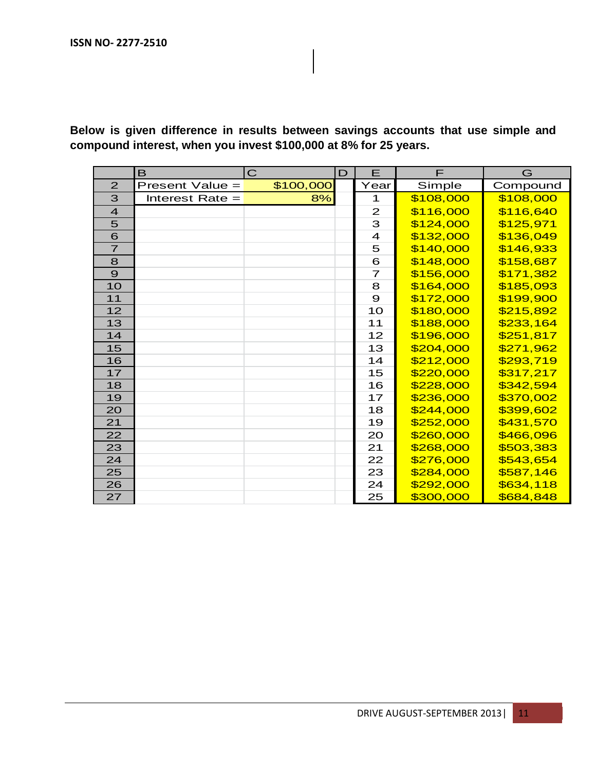**Below is given difference in results between savings accounts that use simple and compound interest, when you invest \$100,000 at 8% for 25 years.**

|                | B                 | $\mathbf C$ | $\mathbf D$ | E              | F         | G         |
|----------------|-------------------|-------------|-------------|----------------|-----------|-----------|
| 2              | Present Value =   | \$100,000   |             | Year           | Simple    | Compound  |
| 3              | Interest Rate $=$ | 8%          |             | 1              | \$108,000 | \$108,000 |
| $\overline{4}$ |                   |             |             | $\mathbf{Z}$   | \$116,000 | \$116,640 |
| 5              |                   |             |             | 3              | \$124,000 | \$125,971 |
| 6              |                   |             |             | $\overline{4}$ | \$132,000 | \$136,049 |
| $\overline{7}$ |                   |             |             | 5              | \$140,000 | \$146,933 |
| 8              |                   |             |             | 6              | \$148,000 | \$158,687 |
| $\overline{9}$ |                   |             |             | $\overline{7}$ | \$156,000 | \$171,382 |
| 10             |                   |             |             | 8              | \$164,000 | \$185,093 |
| 11             |                   |             |             | $\mathbf{9}$   | \$172,000 | \$199,900 |
| 12             |                   |             |             | 10             | \$180,000 | \$215,892 |
| 13             |                   |             |             | 11             | \$188,000 | \$233,164 |
| 14             |                   |             |             | 12             | \$196,000 | \$251,817 |
| 15             |                   |             |             | 13             | \$204,000 | \$271,962 |
| 16             |                   |             |             | 14             | \$212,000 | \$293,719 |
| 17             |                   |             |             | 15             | \$220,000 | \$317,217 |
| 18             |                   |             |             | 16             | \$228,000 | \$342,594 |
| 19             |                   |             |             | 17             | \$236,000 | \$370,002 |
| 20             |                   |             |             | 18             | \$244,000 | \$399,602 |
| 21             |                   |             |             | 19             | \$252,000 | \$431,570 |
| 22             |                   |             |             | 20             | \$260,000 | \$466,096 |
| 23             |                   |             |             | 21             | \$268,000 | \$503,383 |
| 24             |                   |             |             | 22             | \$276,000 | \$543,654 |
| 25             |                   |             |             | 23             | \$284,000 | \$587,146 |
| 26             |                   |             |             | 24             | \$292,000 | \$634,118 |
| 27             |                   |             |             | 25             | \$300,000 | \$684,848 |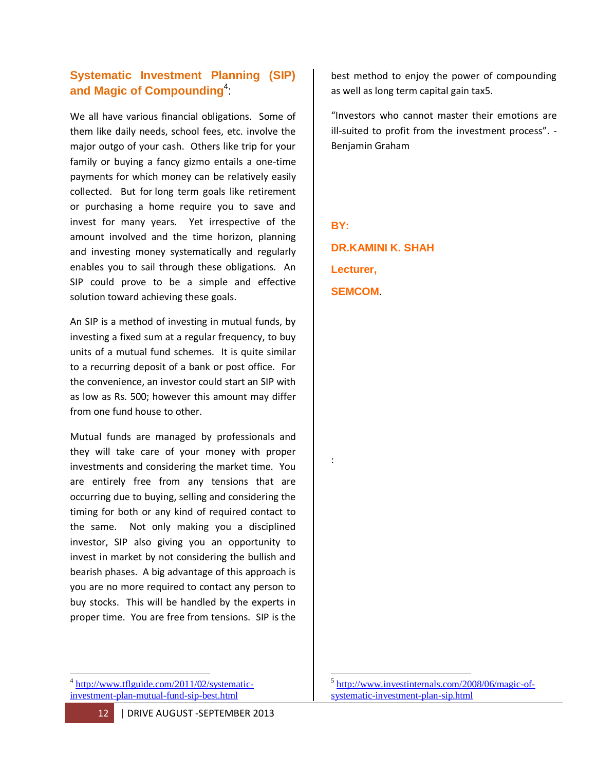# **Systematic Investment Planning (SIP) and Magic of Compounding**<sup>4</sup> :

We all have various financial obligations. Some of them like daily needs, school fees, etc. involve the major outgo of your cash. Others like trip for your family or buying a fancy gizmo entails a one-time payments for which money can be relatively easily collected. But for long term goals like retirement or purchasing a home require you to save and invest for many years. Yet irrespective of the amount involved and the time horizon, planning and investing money systematically and regularly enables you to sail through these obligations. An SIP could prove to be a simple and effective solution toward achieving these goals.

An SIP is a method of investing in mutual funds, by investing a fixed sum at a regular frequency, to buy units of a mutual fund schemes. It is quite similar to a recurring deposit of a bank or post office. For the convenience, an investor could start an SIP with as low as Rs. 500; however this amount may differ from one fund house to other.

Mutual funds are managed by professionals and they will take care of your money with proper investments and considering the market time. You are entirely free from any tensions that are occurring due to buying, selling and considering the timing for both or any kind of required contact to the same. Not only making you a disciplined investor, SIP also giving you an opportunity to invest in market by not considering the bullish and bearish phases. A big advantage of this approach is you are no more required to contact any person to buy stocks. This will be handled by the experts in proper time. You are free from tensions. SIP is the best method to enjoy the power of compounding as well as long term capital gain tax5.

"Investors who cannot master their emotions are ill-suited to profit from the investment process". - Benjamin Graham

**BY:**

:

**DR.KAMINI K. SHAH Lecturer, SEMCOM**.

 $\overline{a}$ 

<sup>&</sup>lt;sup>4</sup> [http://www.tflguide.com/2011/02/systematic](http://www.tflguide.com/2011/02/systematic-investment-plan-mutual-fund-sip-best.html)[investment-plan-mutual-fund-sip-best.html](http://www.tflguide.com/2011/02/systematic-investment-plan-mutual-fund-sip-best.html)

 5 [http://www.investinternals.com/2008/06/magic-of](http://www.investinternals.com/2008/06/magic-of-systematic-investment-plan-sip.html)[systematic-investment-plan-sip.html](http://www.investinternals.com/2008/06/magic-of-systematic-investment-plan-sip.html)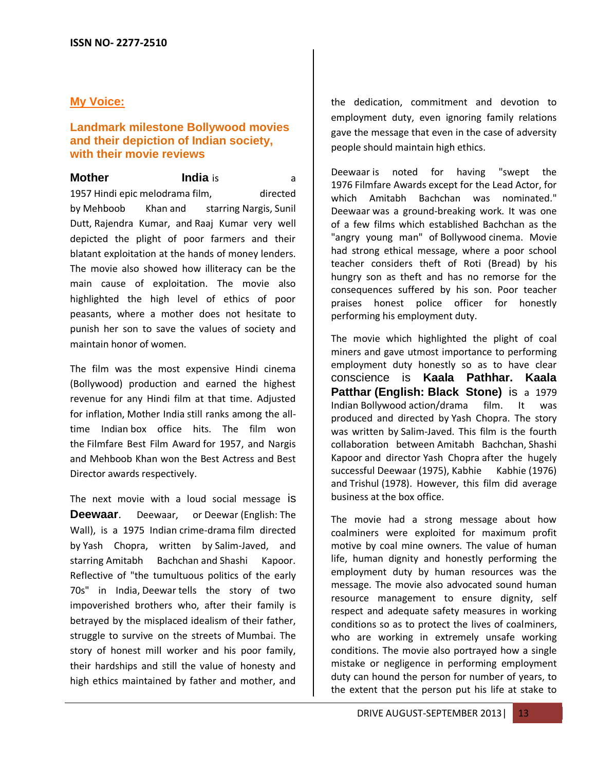#### **My Voice:**

#### **Landmark milestone Bollywood movies and their depiction of Indian society, with their movie reviews**

**Mother India** is a same and a set of the set of  $\alpha$ 1957 Hindi epic melodrama film, directed by Mehboob Khan and starring Nargis, Sunil Dutt, Rajendra Kumar, and Raaj Kumar very well depicted the plight of poor farmers and their blatant exploitation at the hands of money lenders. The movie also showed how illiteracy can be the main cause of exploitation. The movie also highlighted the high level of ethics of poor peasants, where a mother does not hesitate to punish her son to save the values of society and maintain honor of women.

The film was the most expensive Hindi cinema (Bollywood) production and earned the highest revenue for any Hindi film at that time. Adjusted for inflation, Mother India still ranks among the alltime Indian [box office hits.](http://en.wikipedia.org/wiki/List_of_highest-grossing_Bollywood_films#Adjusted_for_inflation) The film won the [Filmfare Best Film Award](http://en.wikipedia.org/wiki/Filmfare_Best_Film_Award) for 1957, and Nargis and Mehboob Khan won the Best Actress and Best Director awards respectively.

The next movie with a loud social message is **Deewaar**. Deewaar, or Deewar (English: The Wall), is a 1975 Indian crime-drama film directed by Yash Chopra, written by Salim-Javed, and starring Amitabh Bachchan and Shashi Kapoor. Reflective of "the tumultuous politics of the early 70s" in India, Deewar tells the story of two impoverished brothers who, after their family is betrayed by the misplaced idealism of their father, struggle to survive on the streets of Mumbai. The story of honest mill worker and his poor family, their hardships and still the value of honesty and high ethics maintained by father and mother, and the dedication, commitment and devotion to employment duty, even ignoring family relations gave the message that even in the case of adversity people should maintain high ethics.

Deewaar is noted for having "swept the 1976 Filmfare Awards except for the Lead Actor, for which Amitabh Bachchan was nominated." Deewaar was a ground-breaking work. It was one of a few films which established Bachchan as the "angry young man" of Bollywood cinema. Movie had strong ethical message, where a poor school teacher considers theft of Roti (Bread) by his hungry son as theft and has no remorse for the consequences suffered by his son. Poor teacher praises honest police officer for honestly performing his employment duty.

The movie which highlighted the plight of coal miners and gave utmost importance to performing employment duty honestly so as to have clear conscience is **Kaala Pathhar. Kaala Patthar (English: Black Stone)** is a 1979 Indian Bollywood action/drama film. It was produced and directed by Yash Chopra. The story was written by Salim-Javed. This film is the fourth collaboration between Amitabh Bachchan, Shashi Kapoor and director Yash Chopra after the hugely successful Deewaar (1975), Kabhie Kabhie (1976) and [Trishul](http://en.wikipedia.org/wiki/Trishul_(film)) (1978). However, this film did average business at the box office.

The movie had a strong message about how coalminers were exploited for maximum profit motive by coal mine owners. The value of human life, human dignity and honestly performing the employment duty by human resources was the message. The movie also advocated sound human resource management to ensure dignity, self respect and adequate safety measures in working conditions so as to protect the lives of coalminers, who are working in extremely unsafe working conditions. The movie also portrayed how a single mistake or negligence in performing employment duty can hound the person for number of years, to the extent that the person put his life at stake to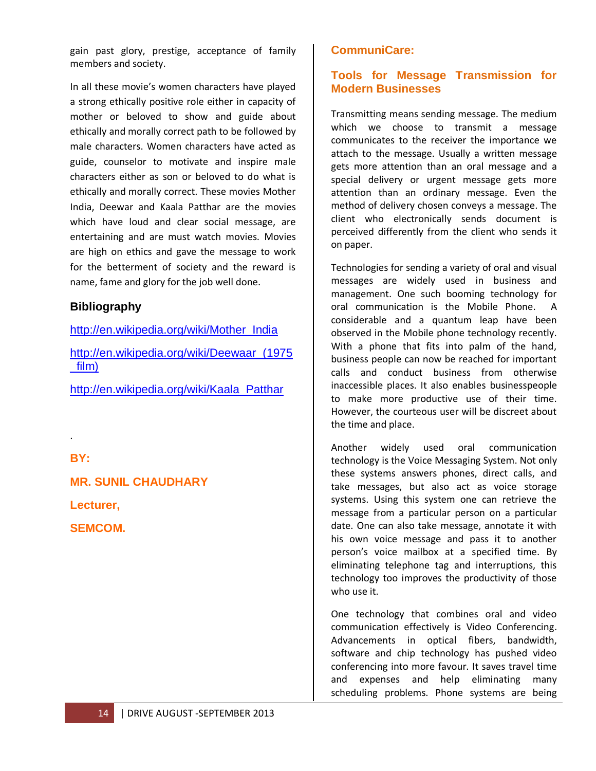gain past glory, prestige, acceptance of family members and society.

In all these movie's women characters have played a strong ethically positive role either in capacity of mother or beloved to show and guide about ethically and morally correct path to be followed by male characters. Women characters have acted as guide, counselor to motivate and inspire male characters either as son or beloved to do what is ethically and morally correct. These movies Mother India, Deewar and Kaala Patthar are the movies which have loud and clear social message, are entertaining and are must watch movies. Movies are high on ethics and gave the message to work for the betterment of society and the reward is name, fame and glory for the job well done.

#### **Bibliography**

[http://en.wikipedia.org/wiki/Mother\\_India](http://en.wikipedia.org/wiki/Mother_India)

[http://en.wikipedia.org/wiki/Deewaar\\_\(1975](http://en.wikipedia.org/wiki/Deewaar_(1975_film)) [\\_film\)](http://en.wikipedia.org/wiki/Deewaar_(1975_film))

[http://en.wikipedia.org/wiki/Kaala\\_Patthar](http://en.wikipedia.org/wiki/Kaala_Patthar)

**BY:**

.

**MR. SUNIL CHAUDHARY**

**Lecturer,**

**SEMCOM.**

# **CommuniCare:**

#### **Tools for Message Transmission for Modern Businesses**

Transmitting means sending message. The medium which we choose to transmit a message communicates to the receiver the importance we attach to the message. Usually a written message gets more attention than an oral message and a special delivery or urgent message gets more attention than an ordinary message. Even the method of delivery chosen conveys a message. The client who electronically sends document is perceived differently from the client who sends it on paper.

Technologies for sending a variety of oral and visual messages are widely used in business and management. One such booming technology for oral communication is the Mobile Phone. A considerable and a quantum leap have been observed in the Mobile phone technology recently. With a phone that fits into palm of the hand, business people can now be reached for important calls and conduct business from otherwise inaccessible places. It also enables businesspeople to make more productive use of their time. However, the courteous user will be discreet about the time and place.

Another widely used oral communication technology is the Voice Messaging System. Not only these systems answers phones, direct calls, and take messages, but also act as voice storage systems. Using this system one can retrieve the message from a particular person on a particular date. One can also take message, annotate it with his own voice message and pass it to another person's voice mailbox at a specified time. By eliminating telephone tag and interruptions, this technology too improves the productivity of those who use it.

One technology that combines oral and video communication effectively is Video Conferencing. Advancements in optical fibers, bandwidth, software and chip technology has pushed video conferencing into more favour. It saves travel time and expenses and help eliminating many scheduling problems. Phone systems are being